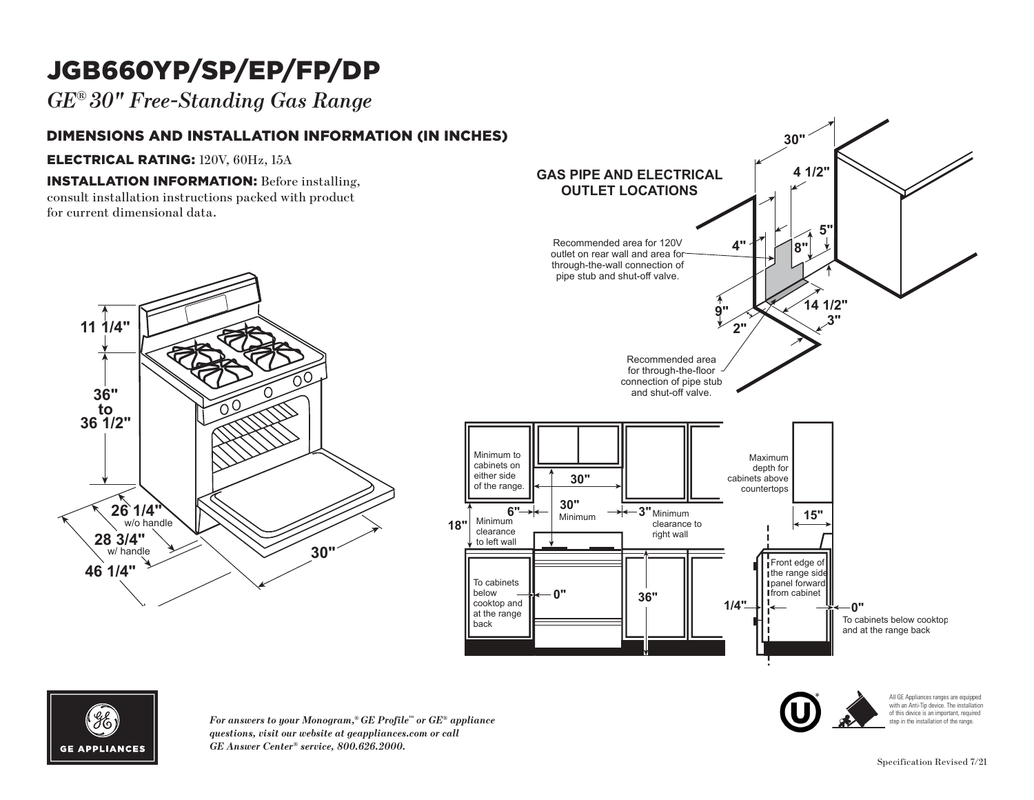# JGB660YP/SP/EP/FP/DP

*GE® 30" Free-Standing Gas Range*

### DIMENSIONS AND INSTALLATION INFORMATION (IN INCHES)

#### ELECTRICAL RATING: 120V, 60Hz, 15A

**INSTALLATION INFORMATION:** Before installing, consult installation instructions packed with product **11 1/4"** for current dimensional data.







*For answers to your Monogram,® GE Profile™ or GE® appliance questions, visit our website at geappliances.com or call*  **6"** *GE Answer Center® service, 800.626.2000.* Minimum **18"**  $\mathcal{M}$  and  $\mathcal{M}$  and  $\mathcal{M}$  and  $\mathcal{M}$  and  $\mathcal{M}$  and  $\mathcal{M}$  are  $\mathcal{M}$  and  $\mathcal{M}$  and  $\mathcal{M}$  are  $\mathcal{M}$  and  $\mathcal{M}$  are  $\mathcal{M}$  and  $\mathcal{M}$  are  $\mathcal{M}$  and  $\mathcal{M}$  are  $\mathcal{M}$  and  $\mathcal{M}$  are **30" <sup>3</sup> 15" "**



All GE Appliances ranges are equipped with an Anti-Tip device. The installation of this device is an important, required step in the installation of the range.